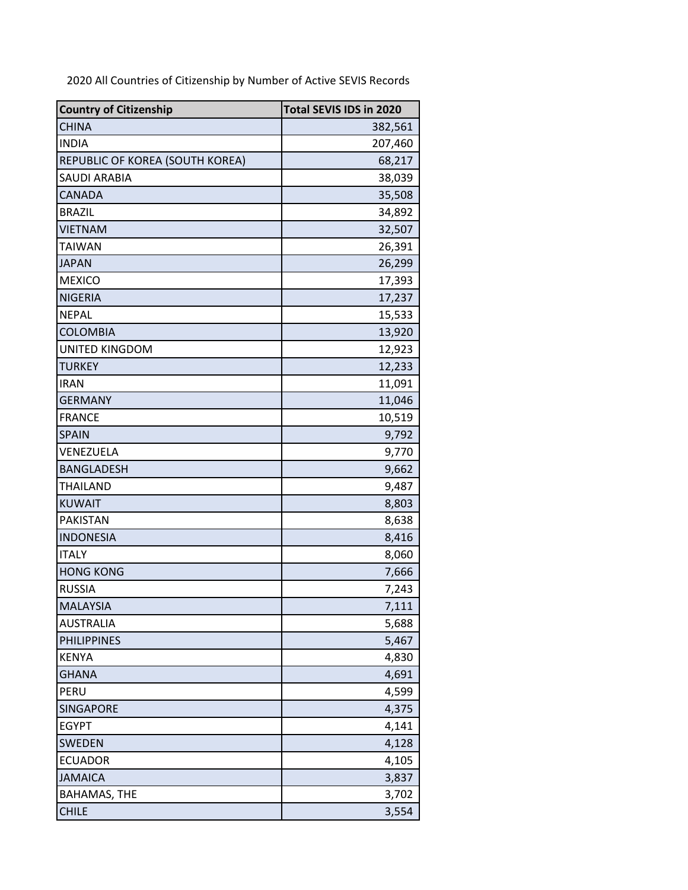2020 All Countries of Citizenship by Number of Active SEVIS Records

| <b>Country of Citizenship</b>   | Total SEVIS IDS in 2020 |
|---------------------------------|-------------------------|
| <b>CHINA</b>                    | 382,561                 |
| <b>INDIA</b>                    | 207,460                 |
| REPUBLIC OF KOREA (SOUTH KOREA) | 68,217                  |
| <b>SAUDI ARABIA</b>             | 38,039                  |
| CANADA                          | 35,508                  |
| <b>BRAZIL</b>                   | 34,892                  |
| <b>VIETNAM</b>                  | 32,507                  |
| <b>TAIWAN</b>                   | 26,391                  |
| <b>JAPAN</b>                    | 26,299                  |
| <b>MEXICO</b>                   | 17,393                  |
| <b>NIGERIA</b>                  | 17,237                  |
| <b>NEPAL</b>                    | 15,533                  |
| <b>COLOMBIA</b>                 | 13,920                  |
| UNITED KINGDOM                  | 12,923                  |
| <b>TURKEY</b>                   | 12,233                  |
| <b>IRAN</b>                     | 11,091                  |
| <b>GERMANY</b>                  | 11,046                  |
| <b>FRANCE</b>                   | 10,519                  |
| <b>SPAIN</b>                    | 9,792                   |
| VENEZUELA                       | 9,770                   |
| <b>BANGLADESH</b>               | 9,662                   |
| THAILAND                        | 9,487                   |
| <b>KUWAIT</b>                   | 8,803                   |
| PAKISTAN                        | 8,638                   |
| <b>INDONESIA</b>                | 8,416                   |
| <b>ITALY</b>                    | 8,060                   |
| <b>HONG KONG</b>                | 7,666                   |
| <b>RUSSIA</b>                   | 7,243                   |
| MALAYSIA                        | 7,111                   |
| <b>AUSTRALIA</b>                | 5,688                   |
| <b>PHILIPPINES</b>              | 5,467                   |
| <b>KENYA</b>                    | 4,830                   |
| <b>GHANA</b>                    | 4,691                   |
| PERU                            | 4,599                   |
| <b>SINGAPORE</b>                | 4,375                   |
| <b>EGYPT</b>                    | 4,141                   |
| <b>SWEDEN</b>                   | 4,128                   |
| <b>ECUADOR</b>                  | 4,105                   |
| <b>JAMAICA</b>                  | 3,837                   |
| <b>BAHAMAS, THE</b>             | 3,702                   |
| <b>CHILE</b>                    | 3,554                   |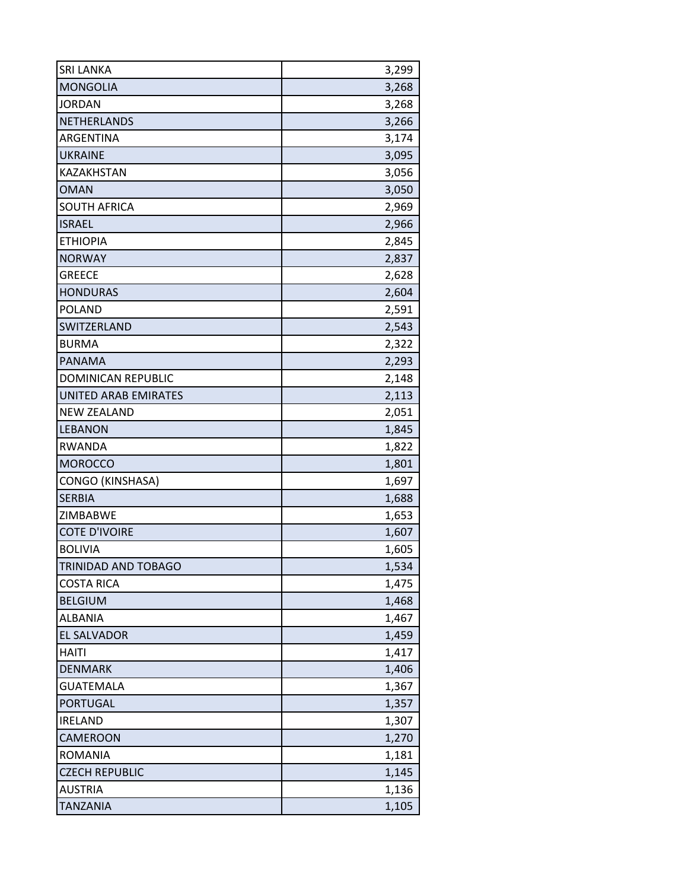| <b>SRI LANKA</b>            | 3,299 |
|-----------------------------|-------|
| <b>MONGOLIA</b>             | 3,268 |
| <b>JORDAN</b>               | 3,268 |
| NETHERLANDS                 | 3,266 |
| ARGENTINA                   | 3,174 |
| <b>UKRAINE</b>              | 3,095 |
| KAZAKHSTAN                  | 3,056 |
| <b>OMAN</b>                 | 3,050 |
| <b>SOUTH AFRICA</b>         | 2,969 |
| <b>ISRAEL</b>               | 2,966 |
| <b>ETHIOPIA</b>             | 2,845 |
| <b>NORWAY</b>               | 2,837 |
| <b>GREECE</b>               | 2,628 |
| <b>HONDURAS</b>             | 2,604 |
| <b>POLAND</b>               | 2,591 |
| SWITZERLAND                 | 2,543 |
| <b>BURMA</b>                | 2,322 |
| <b>PANAMA</b>               | 2,293 |
| <b>DOMINICAN REPUBLIC</b>   | 2,148 |
| <b>UNITED ARAB EMIRATES</b> | 2,113 |
| <b>NEW ZEALAND</b>          | 2,051 |
| <b>LEBANON</b>              | 1,845 |
| <b>RWANDA</b>               | 1,822 |
| <b>MOROCCO</b>              | 1,801 |
| CONGO (KINSHASA)            | 1,697 |
| <b>SERBIA</b>               | 1,688 |
| ZIMBABWE                    | 1,653 |
| <b>COTE D'IVOIRE</b>        | 1,607 |
| <b>BOLIVIA</b>              | 1,605 |
| TRINIDAD AND TOBAGO         | 1,534 |
| <b>COSTA RICA</b>           | 1,475 |
| <b>BELGIUM</b>              | 1,468 |
| <b>ALBANIA</b>              | 1,467 |
| <b>EL SALVADOR</b>          | 1,459 |
| <b>HAITI</b>                | 1,417 |
| <b>DENMARK</b>              | 1,406 |
| <b>GUATEMALA</b>            | 1,367 |
| <b>PORTUGAL</b>             | 1,357 |
| <b>IRELAND</b>              | 1,307 |
| CAMEROON                    | 1,270 |
| <b>ROMANIA</b>              | 1,181 |
| <b>CZECH REPUBLIC</b>       | 1,145 |
| <b>AUSTRIA</b>              | 1,136 |
| <b>TANZANIA</b>             | 1,105 |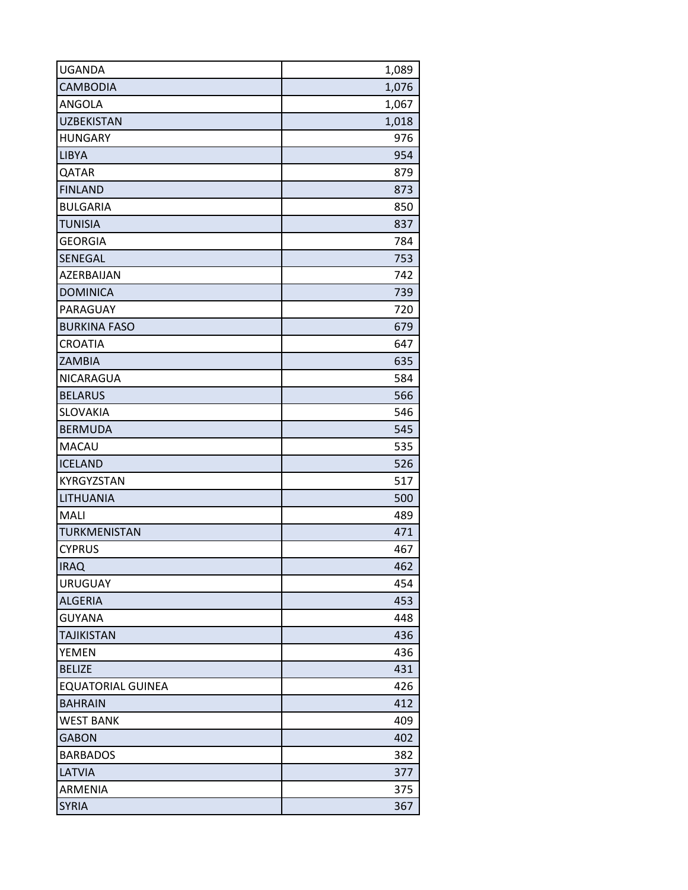| <b>UGANDA</b>            | 1,089 |
|--------------------------|-------|
| <b>CAMBODIA</b>          | 1,076 |
| <b>ANGOLA</b>            | 1,067 |
| <b>UZBEKISTAN</b>        | 1,018 |
| <b>HUNGARY</b>           | 976   |
| <b>LIBYA</b>             | 954   |
| QATAR                    | 879   |
| <b>FINLAND</b>           | 873   |
| <b>BULGARIA</b>          | 850   |
| <b>TUNISIA</b>           | 837   |
| <b>GEORGIA</b>           | 784   |
| SENEGAL                  | 753   |
| AZERBAIJAN               | 742   |
| <b>DOMINICA</b>          | 739   |
| PARAGUAY                 | 720   |
| <b>BURKINA FASO</b>      | 679   |
| <b>CROATIA</b>           | 647   |
| <b>ZAMBIA</b>            | 635   |
| NICARAGUA                | 584   |
| <b>BELARUS</b>           | 566   |
| <b>SLOVAKIA</b>          | 546   |
| <b>BERMUDA</b>           | 545   |
| MACAU                    | 535   |
| <b>ICELAND</b>           | 526   |
| KYRGYZSTAN               | 517   |
| LITHUANIA                | 500   |
| MALI                     | 489   |
| <b>TURKMENISTAN</b>      | 471   |
| <b>CYPRUS</b>            | 467   |
| <b>IRAQ</b>              | 462   |
| <b>URUGUAY</b>           | 454   |
| <b>ALGERIA</b>           | 453   |
| <b>GUYANA</b>            | 448   |
| <b>TAJIKISTAN</b>        | 436   |
| <b>YEMEN</b>             | 436   |
| <b>BELIZE</b>            | 431   |
| <b>EQUATORIAL GUINEA</b> | 426   |
| <b>BAHRAIN</b>           | 412   |
| <b>WEST BANK</b>         | 409   |
| <b>GABON</b>             | 402   |
| <b>BARBADOS</b>          | 382   |
| <b>LATVIA</b>            | 377   |
| ARMENIA                  | 375   |
| <b>SYRIA</b>             | 367   |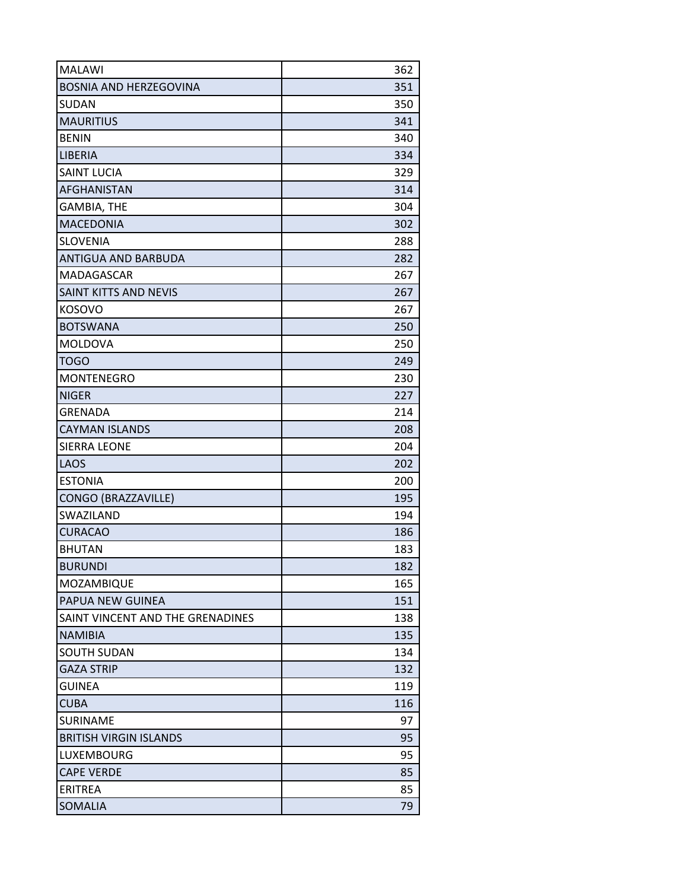| <b>MALAWI</b>                    | 362 |
|----------------------------------|-----|
| <b>BOSNIA AND HERZEGOVINA</b>    | 351 |
| SUDAN                            | 350 |
| <b>MAURITIUS</b>                 | 341 |
| <b>BENIN</b>                     | 340 |
| <b>LIBERIA</b>                   | 334 |
| <b>SAINT LUCIA</b>               | 329 |
| <b>AFGHANISTAN</b>               | 314 |
| <b>GAMBIA, THE</b>               | 304 |
| <b>MACEDONIA</b>                 | 302 |
| <b>SLOVENIA</b>                  | 288 |
| ANTIGUA AND BARBUDA              | 282 |
| MADAGASCAR                       | 267 |
| <b>SAINT KITTS AND NEVIS</b>     | 267 |
| <b>KOSOVO</b>                    | 267 |
| <b>BOTSWANA</b>                  | 250 |
| <b>MOLDOVA</b>                   | 250 |
| <b>TOGO</b>                      | 249 |
| <b>MONTENEGRO</b>                | 230 |
| <b>NIGER</b>                     | 227 |
| <b>GRENADA</b>                   | 214 |
| <b>CAYMAN ISLANDS</b>            | 208 |
| <b>SIERRA LEONE</b>              | 204 |
| LAOS                             | 202 |
| <b>ESTONIA</b>                   | 200 |
| CONGO (BRAZZAVILLE)              | 195 |
| SWAZILAND                        | 194 |
| <b>CURACAO</b>                   | 186 |
| <b>BHUTAN</b>                    | 183 |
| <b>BURUNDI</b>                   | 182 |
| MOZAMBIQUE                       | 165 |
| PAPUA NEW GUINEA                 | 151 |
| SAINT VINCENT AND THE GRENADINES | 138 |
| <b>NAMIBIA</b>                   | 135 |
| <b>SOUTH SUDAN</b>               | 134 |
| <b>GAZA STRIP</b>                | 132 |
| <b>GUINEA</b>                    | 119 |
| <b>CUBA</b>                      | 116 |
| <b>SURINAME</b>                  | 97  |
| <b>BRITISH VIRGIN ISLANDS</b>    | 95  |
| LUXEMBOURG                       | 95  |
| <b>CAPE VERDE</b>                | 85  |
| <b>ERITREA</b>                   | 85  |
| <b>SOMALIA</b>                   | 79  |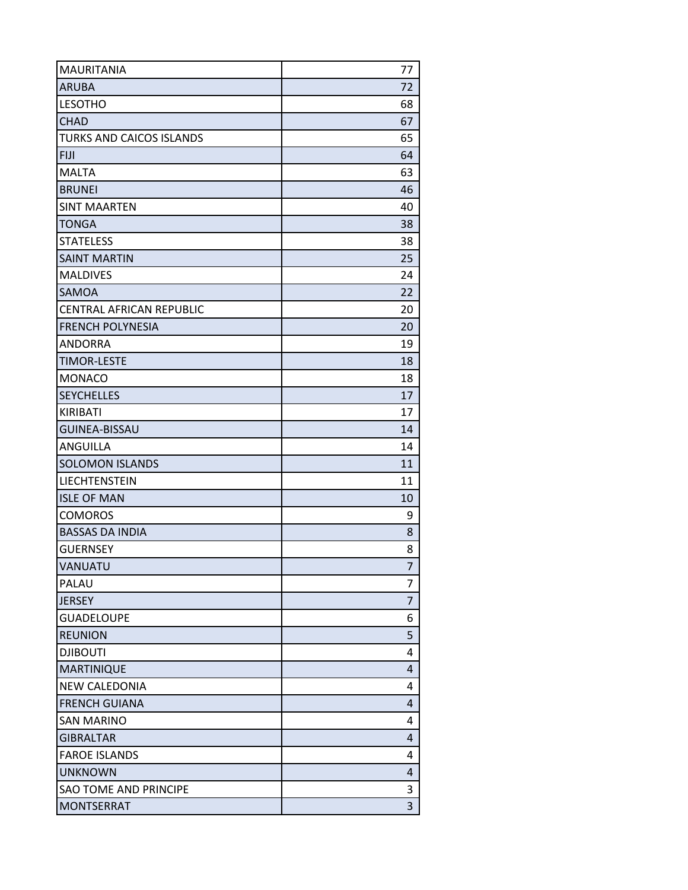| <b>MAURITANIA</b>               | 77             |
|---------------------------------|----------------|
| <b>ARUBA</b>                    | 72             |
| <b>LESOTHO</b>                  | 68             |
| <b>CHAD</b>                     | 67             |
| <b>TURKS AND CAICOS ISLANDS</b> | 65             |
| <b>FIJI</b>                     | 64             |
| <b>MALTA</b>                    | 63             |
| <b>BRUNEI</b>                   | 46             |
| <b>SINT MAARTEN</b>             | 40             |
| <b>TONGA</b>                    | 38             |
| <b>STATELESS</b>                | 38             |
| <b>SAINT MARTIN</b>             | 25             |
| <b>MALDIVES</b>                 | 24             |
| <b>SAMOA</b>                    | 22             |
| <b>CENTRAL AFRICAN REPUBLIC</b> | 20             |
| <b>FRENCH POLYNESIA</b>         | 20             |
| <b>ANDORRA</b>                  | 19             |
| <b>TIMOR-LESTE</b>              | 18             |
| <b>MONACO</b>                   | 18             |
| <b>SEYCHELLES</b>               | 17             |
| KIRIBATI                        | 17             |
| <b>GUINEA-BISSAU</b>            | 14             |
| ANGUILLA                        | 14             |
| <b>SOLOMON ISLANDS</b>          | 11             |
| LIECHTENSTEIN                   | 11             |
| <b>ISLE OF MAN</b>              | 10             |
| <b>COMOROS</b>                  | 9              |
| <b>BASSAS DA INDIA</b>          | 8              |
| <b>GUERNSEY</b>                 | 8              |
| VANUATU                         | 7              |
| PALAU                           | 7              |
| <b>JERSEY</b>                   | $\overline{7}$ |
| <b>GUADELOUPE</b>               | 6              |
| <b>REUNION</b>                  | 5              |
| <b>DJIBOUTI</b>                 | 4              |
| <b>MARTINIQUE</b>               | 4              |
| <b>NEW CALEDONIA</b>            | 4              |
| <b>FRENCH GUIANA</b>            | 4              |
| <b>SAN MARINO</b>               | 4              |
| <b>GIBRALTAR</b>                | 4              |
| <b>FAROE ISLANDS</b>            | 4              |
| <b>UNKNOWN</b>                  | 4              |
| SAO TOME AND PRINCIPE           | 3              |
| <b>MONTSERRAT</b>               | 3              |